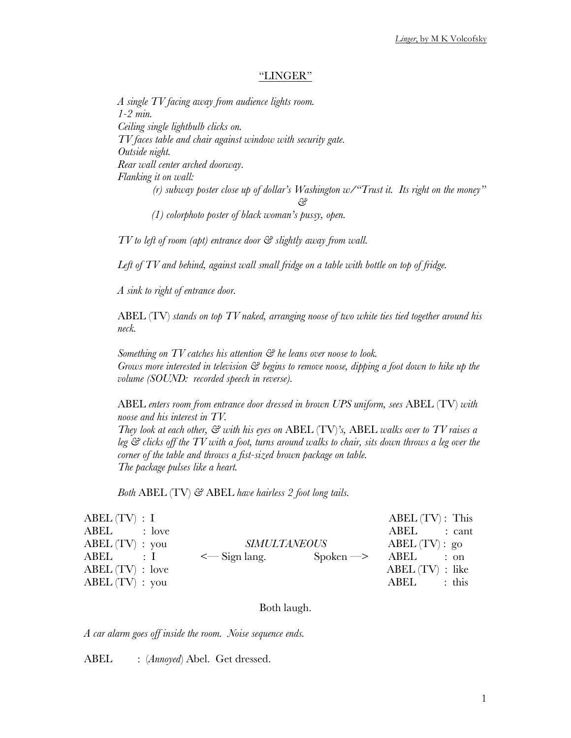#### "LINGER"

*A single TV facing away from audience lights room. 1-2 min. Ceiling single lightbulb clicks on. TV faces table and chair against window with security gate. Outside night. Rear wall center arched doorway. Flanking it on wall: (r) subway poster close up of dollar's Washington w/"Trust it. Its right on the money" & (1) colorphoto poster of black woman's pussy, open.* 

*TV to left of room (apt) entrance door & slightly away from wall.* 

*Left of TV and behind, against wall small fridge on a table with bottle on top of fridge.* 

*A sink to right of entrance door.* 

ABEL (TV) *stands on top TV naked, arranging noose of two white ties tied together around his neck.* 

*Something on TV catches his attention & he leans over noose to look. Grows more interested in television & begins to remove noose, dipping a foot down to hike up the volume (SOUND: recorded speech in reverse).* 

ABEL *enters room from entrance door dressed in brown UPS uniform, sees* ABEL (TV) *with noose and his interest in TV.* 

*They look at each other, & with his eyes on* ABEL (TV)*'s,* ABEL *walks over to TV raises a leg & clicks off the TV with a foot, turns around walks to chair, sits down throws a leg over the corner of the table and throws a fist-sized brown package on table. The package pulses like a heart.*

*Both* ABEL (TV) *&* ABEL *have hairless 2 foot long tails.*

| ABEL(TV) : I     |                                                  | $ABEL(TV)$ : This |  |
|------------------|--------------------------------------------------|-------------------|--|
| ABEL : love      |                                                  | ABEL : cant       |  |
| $ABEL(TV)$ : you | SIMULTANEOUS                                     | ABEL(TV): go      |  |
| ABEL : I         | $\leq$ Sign lang. Spoken $\Rightarrow$ ABEL : on |                   |  |
| ABEL(TV) : love  |                                                  | $ABEL(TV)$ : like |  |
| $ABEL(TV)$ : you |                                                  | ABEL : this       |  |

#### Both laugh.

*A car alarm goes off inside the room. Noise sequence ends.*

ABEL : (*Annoyed*) Abel. Get dressed.